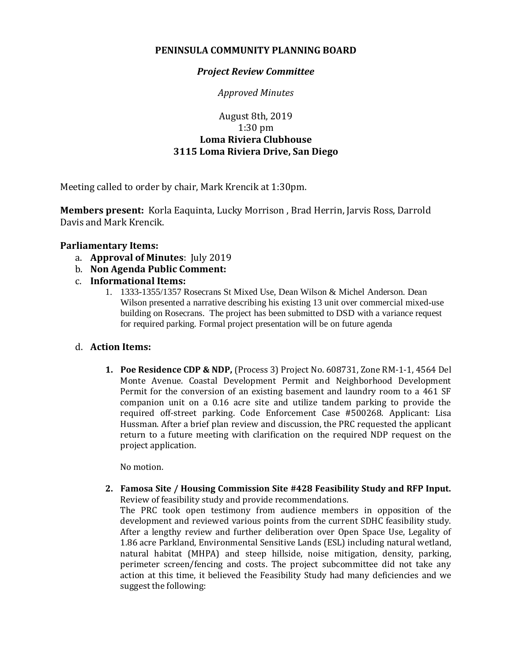## **PENINSULA COMMUNITY PLANNING BOARD**

## *Project Review Committee*

*Approved Minutes*

# August 8th, 2019 1:30 pm **Loma Riviera Clubhouse 3115 Loma Riviera Drive, San Diego**

Meeting called to order by chair, Mark Krencik at 1:30pm.

**Members present:** Korla Eaquinta, Lucky Morrison , Brad Herrin, Jarvis Ross, Darrold Davis and Mark Krencik.

## **Parliamentary Items:**

- a. **Approval of Minutes**: July 2019
- b. **Non Agenda Public Comment:**
- c. **Informational Items:**
	- 1. 1333-1355/1357 Rosecrans St Mixed Use, Dean Wilson & Michel Anderson. Dean Wilson presented a narrative describing his existing 13 unit over commercial mixed-use building on Rosecrans. The project has been submitted to DSD with a variance request for required parking. Formal project presentation will be on future agenda

#### d. **Action Items:**

**1. Poe Residence CDP & NDP,** (Process 3) Project No. 608731, Zone RM-1-1, 4564 Del Monte Avenue. Coastal Development Permit and Neighborhood Development Permit for the conversion of an existing basement and laundry room to a 461 SF companion unit on a 0.16 acre site and utilize tandem parking to provide the required off-street parking. Code Enforcement Case #500268. Applicant: Lisa Hussman. After a brief plan review and discussion, the PRC requested the applicant return to a future meeting with clarification on the required NDP request on the project application.

No motion.

**2. Famosa Site / Housing Commission Site #428 Feasibility Study and RFP Input.**  Review of feasibility study and provide recommendations.

The PRC took open testimony from audience members in opposition of the development and reviewed various points from the current SDHC feasibility study. After a lengthy review and further deliberation over Open Space Use, Legality of 1.86 acre Parkland, Environmental Sensitive Lands (ESL) including natural wetland, natural habitat (MHPA) and steep hillside, noise mitigation, density, parking, perimeter screen/fencing and costs. The project subcommittee did not take any action at this time, it believed the Feasibility Study had many deficiencies and we suggest the following: